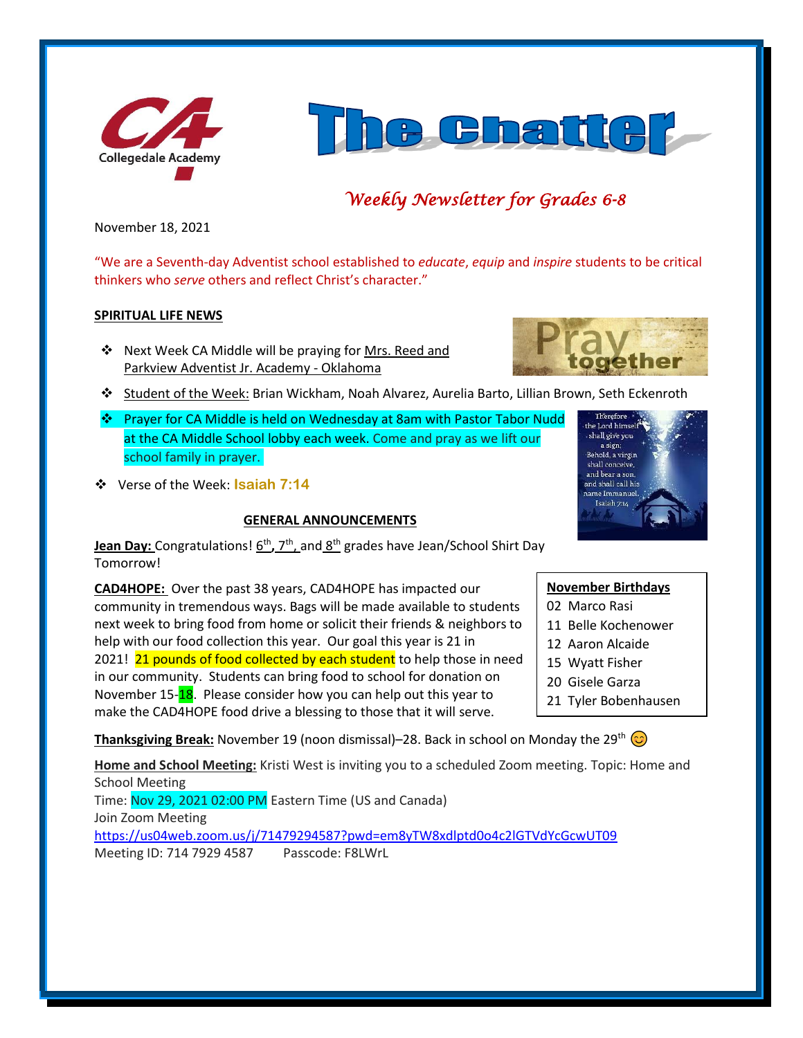



# *Weekly Newsletter for Grades 6-8*

November 18, 2021

"We are a Seventh-day Adventist school established to *educate*, *equip* and *inspire* students to be critical thinkers who *serve* others and reflect Christ's character."

### **SPIRITUAL LIFE NEWS**

❖ Next Week CA Middle will be praying for Mrs. Reed and Parkview Adventist Jr. Academy - Oklahoma



- ❖ Student of the Week: Brian Wickham, Noah Alvarez, Aurelia Barto, Lillian Brown, Seth Eckenroth
- ❖ Prayer for CA Middle is held on Wednesday at 8am with Pastor Tabor Nudd at the CA Middle School lobby each week. Come and pray as we lift our school family in prayer.
- ❖ Verse of the Week: **Isaiah 7:14**

# **GENERAL ANNOUNCEMENTS**



**Jean Day:** Congratulations!  $\underline{6^{th}}$ , 7<sup>th</sup>, and  $\underline{8^{th}}$  grades have Jean/School Shirt Day Tomorrow!

**CAD4HOPE:** Over the past 38 years, CAD4HOPE has impacted our community in tremendous ways. Bags will be made available to students next week to bring food from home or solicit their friends & neighbors to help with our food collection this year. Our goal this year is 21 in 2021! 21 pounds of food collected by each student to help those in need in our community. Students can bring food to school for donation on November 15-18. Please consider how you can help out this year to make the CAD4HOPE food drive a blessing to those that it will serve.

**November Birthdays** 02 Marco Rasi

- 11 Belle Kochenower
- 
- 12 Aaron Alcaide
- 15 Wyatt Fisher
- 20 Gisele Garza
- 21 Tyler Bobenhausen

**Thanksgiving Break:** November 19 (noon dismissal)–28. Back in school on Monday the 29<sup>th</sup> ©

**Home and School Meeting:** Kristi West is inviting you to a scheduled Zoom meeting. Topic: Home and School Meeting Time: Nov 29, 2021 02:00 PM Eastern Time (US and Canada) Join Zoom Meeting <https://us04web.zoom.us/j/71479294587?pwd=em8yTW8xdlptd0o4c2lGTVdYcGcwUT09>

Meeting ID: 714 7929 4587 Passcode: F8LWrL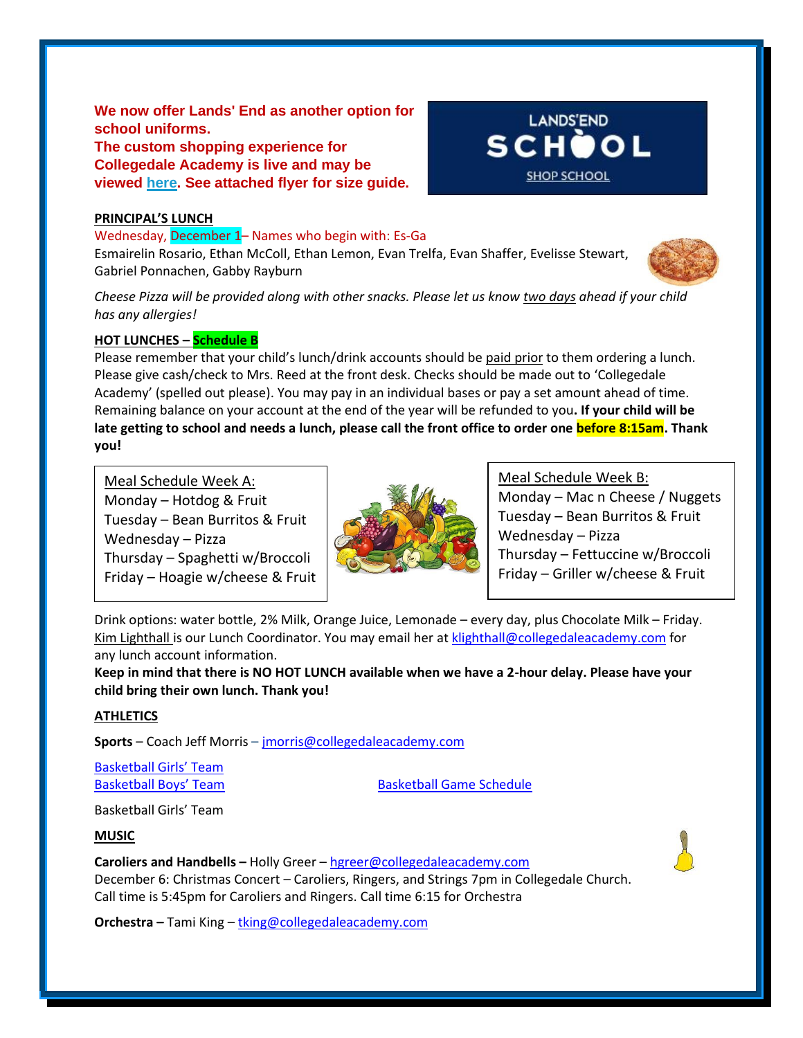**We now offer Lands' End as another option for school uniforms. The custom shopping experience for Collegedale Academy is live and may be viewed [here.](http://www.landsend.com/pp/SchoolSearch.html?action=landing&selectedSchoolNum=900196254) See attached flyer for size guide.**

### **PRINCIPAL'S LUNCH**

Wednesday, December 1– Names who begin with: Es-Ga Esmairelin Rosario, Ethan McColl, Ethan Lemon, Evan Trelfa, Evan Shaffer, Evelisse Stewart, Gabriel Ponnachen, Gabby Rayburn



*Cheese Pizza will be provided along with other snacks. Please let us know two days ahead if your child has any allergies!*

### **HOT LUNCHES – Schedule B**

Please remember that your child's lunch/drink accounts should be paid prior to them ordering a lunch. Please give cash/check to Mrs. Reed at the front desk. Checks should be made out to 'Collegedale Academy' (spelled out please). You may pay in an individual bases or pay a set amount ahead of time. Remaining balance on your account at the end of the year will be refunded to you**. If your child will be late getting to school and needs a lunch, please call the front office to order one before 8:15am. Thank you!** 

Meal Schedule Week A: Monday – Hotdog & Fruit Tuesday – Bean Burritos & Fruit Wednesday – Pizza Thursday – Spaghetti w/Broccoli Friday – Hoagie w/cheese & Fruit



Meal Schedule Week B: Monday – Mac n Cheese / Nuggets Tuesday – Bean Burritos & Fruit Wednesday – Pizza Thursday – Fettuccine w/Broccoli Friday – Griller w/cheese & Fruit

**LANDS'END SCHOOL** 

**SHOP SCHOOL** 

Drink options: water bottle, 2% Milk, Orange Juice, Lemonade – every day, plus Chocolate Milk – Friday. Kim Lighthall is our Lunch Coordinator. You may email her at [klighthall@collegedaleacademy.com](mailto:klighthall@collegedaleacademy.com) for any lunch account information.

**Keep in mind that there is NO HOT LUNCH available when we have a 2-hour delay. Please have your child bring their own lunch. Thank you!**

#### **ATHLETICS**

**Sports** – Coach Jeff Morris – [jmorris@collegedaleacademy.com](mailto:jmorris@collegedaleacademy.com)

[Basketball Girls' Team](https://www.collegedaleacademy.com/wp-content/uploads/2021/11/Basketball-Teams-Girls-1.pdf)

[Basketball Boys' Team](https://www.collegedaleacademy.com/wp-content/uploads/2021/11/Basketball-Teams-Boys.pdf) [Basketball Game Schedule](https://www.collegedaleacademy.com/wp-content/uploads/2021/11/Basketball-Schedule.pdf)

Basketball Girls' Team

**MUSIC**

**Caroliers and Handbells –** Holly Greer – [hgreer@collegedaleacademy.com](mailto:hgreer@collegedaleacademy.com) December 6: Christmas Concert – Caroliers, Ringers, and Strings 7pm in Collegedale Church. Call time is 5:45pm for Caroliers and Ringers. Call time 6:15 for Orchestra

**Orchestra –** Tami King – [tking@collegedaleacademy.com](mailto:tking@collegedaleacademy.com)